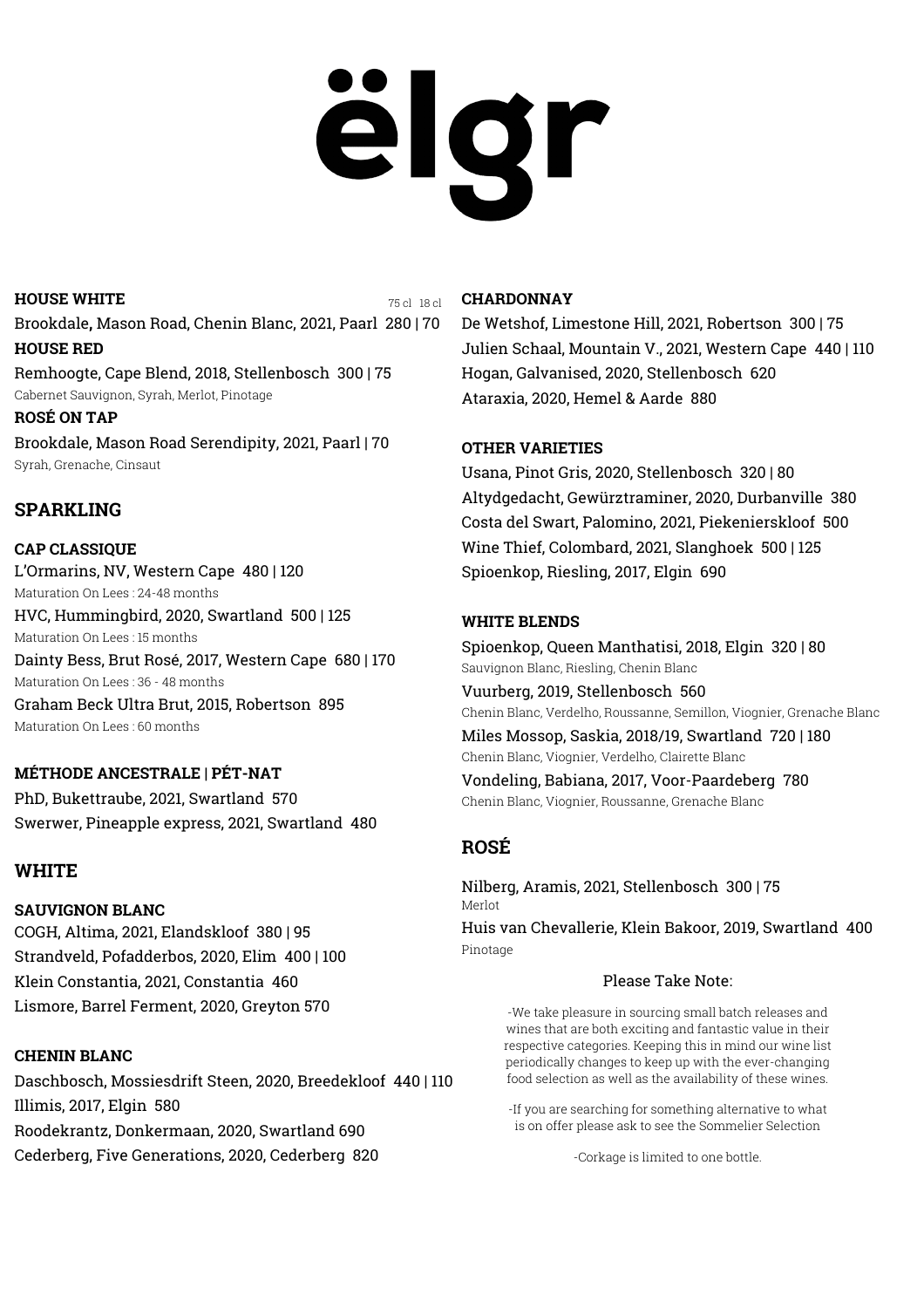# ëlgr

### **HOUSE WHITE**

75 cl 18 cl

Brookdale**,** Mason Road, Chenin Blanc, 2021, Paarl 280 | 70 **HOUSE RED**

Remhoogte, Cape Blend, 2018, Stellenbosch 300 | 75 Cabernet Sauvignon, Syrah, Merlot, Pinotage

**ROSÉ ON TAP** Brookdale, Mason Road Serendipity, 2021, Paarl | 70 Syrah, Grenache, Cinsaut

# **SPARKLING**

# **CAP CLASSIQUE**

L'Ormarins, NV, Western Cape 480 | 120 Maturation On Lees : 24-48 months HVC, Hummingbird, 2020, Swartland 500 | 125 Maturation On Lees : 15 months Dainty Bess, Brut Rosé, 2017, Western Cape 680 | 170 Maturation On Lees : 36 - 48 months

Graham Beck Ultra Brut, 2015, Robertson 895 Maturation On Lees : 60 months

# **MÉTHODE ANCESTRALE | PÉT-NAT**

PhD, Bukettraube, 2021, Swartland 570 Swerwer, Pineapple express, 2021, Swartland 480

# **WHITE**

## **SAUVIGNON BLANC**

COGH, Altima, 2021, Elandskloof 380 | 95 Strandveld, Pofadderbos, 2020, Elim 400 | 100 Klein Constantia, 2021, Constantia 460 Lismore, Barrel Ferment, 2020, Greyton 570

## **CHENIN BLANC**

Daschbosch, Mossiesdrift Steen, 2020, Breedekloof 440 | 110 Illimis, 2017, Elgin 580 Roodekrantz, Donkermaan, 2020, Swartland 690 Cederberg, Five Generations, 2020, Cederberg 820 correspondence of the Corkage is limited to one bottle.

### **CHARDONNAY**

De Wetshof, Limestone Hill, 2021, Robertson 300 | 75 Julien Schaal, Mountain V., 2021, Western Cape 440 | 110 Hogan, Galvanised, 2020, Stellenbosch 620 Ataraxia, 2020, Hemel & Aarde 880

## **OTHER VARIETIES**

Usana, Pinot Gris, 2020, Stellenbosch 320 | 80 Altydgedacht, Gewürztraminer, 2020, Durbanville 380 Costa del Swart, Palomino, 2021, Piekenierskloof 500 Wine Thief, Colombard, 2021, Slanghoek 500 | 125 Spioenkop, Riesling, 2017, Elgin 690

### **WHITE BLENDS**

Spioenkop, Queen Manthatisi, 2018, Elgin 320 | 80 Sauvignon Blanc, Riesling, Chenin Blanc Vuurberg, 2019, Stellenbosch 560 Chenin Blanc, Verdelho, Roussanne, Semillon, Viognier, Grenache Blanc Miles Mossop, Saskia, 2018/19, Swartland 720 | 180 Chenin Blanc, Viognier, Verdelho, Clairette Blanc

Vondeling, Babiana, 2017, Voor-Paardeberg 780 Chenin Blanc, Viognier, Roussanne, Grenache Blanc

# **ROSÉ**

Nilberg, Aramis, 2021, Stellenbosch 300 | 75 Merlot [Huis van Chevallerie,](https://huisvanchevallerie.com/) Klein Bakoor, 2019, Swartland 400 Pinotage

### Please Take Note:

-We take pleasure in sourcing small batch releases and wines that are both exciting and fantastic value in their respective categories. Keeping this in mind our wine list periodically changes to keep up with the ever-changing food selection as well as the availability of these wines.

-If you are searching for something alternative to what is on offer please ask to see the Sommelier Selection